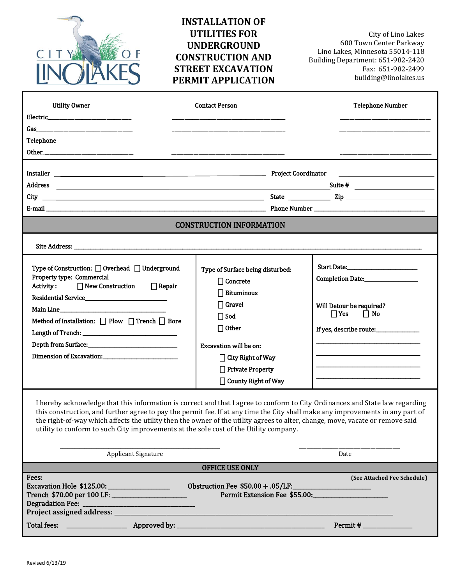

# **INSTALLATION OF UTILITIES FOR UNDERGROUND CONSTRUCTION AND STREET EXCAVATION PERMIT APPLICATION**

City of Lino Lakes 600 Town Center Parkway Lino Lakes, Minnesota 55014-118 Building Department: 651-982-2420 Fax: 651-982-2499 [building@linolakes.us](mailto:building@ci.lino-lakes.mn.us)

| <b>Utility Owner</b>                                                                                                                                                                                                                                                                                                                                                                                                                                                                     | <b>Contact Person</b>                                                | <b>Telephone Number</b>                          |  |
|------------------------------------------------------------------------------------------------------------------------------------------------------------------------------------------------------------------------------------------------------------------------------------------------------------------------------------------------------------------------------------------------------------------------------------------------------------------------------------------|----------------------------------------------------------------------|--------------------------------------------------|--|
|                                                                                                                                                                                                                                                                                                                                                                                                                                                                                          |                                                                      |                                                  |  |
|                                                                                                                                                                                                                                                                                                                                                                                                                                                                                          |                                                                      |                                                  |  |
|                                                                                                                                                                                                                                                                                                                                                                                                                                                                                          |                                                                      |                                                  |  |
|                                                                                                                                                                                                                                                                                                                                                                                                                                                                                          |                                                                      |                                                  |  |
|                                                                                                                                                                                                                                                                                                                                                                                                                                                                                          |                                                                      |                                                  |  |
| Installer <b>No. 2016</b> Project Coordinator                                                                                                                                                                                                                                                                                                                                                                                                                                            |                                                                      | <u> 2000 - Andrea Andrew Maria (h. 1878).</u>    |  |
| Address                                                                                                                                                                                                                                                                                                                                                                                                                                                                                  |                                                                      |                                                  |  |
|                                                                                                                                                                                                                                                                                                                                                                                                                                                                                          |                                                                      |                                                  |  |
|                                                                                                                                                                                                                                                                                                                                                                                                                                                                                          |                                                                      |                                                  |  |
| <b>CONSTRUCTION INFORMATION</b>                                                                                                                                                                                                                                                                                                                                                                                                                                                          |                                                                      |                                                  |  |
|                                                                                                                                                                                                                                                                                                                                                                                                                                                                                          |                                                                      |                                                  |  |
| Type of Construction: □ Overhead □ Underground                                                                                                                                                                                                                                                                                                                                                                                                                                           |                                                                      |                                                  |  |
| Property type: Commercial                                                                                                                                                                                                                                                                                                                                                                                                                                                                | Type of Surface being disturbed:                                     |                                                  |  |
| $\Box$ New Construction $\Box$ Repair<br>Activity:                                                                                                                                                                                                                                                                                                                                                                                                                                       | $\Box$ Concrete<br>$\Box$ Bituminous                                 |                                                  |  |
|                                                                                                                                                                                                                                                                                                                                                                                                                                                                                          | $\Box$ Gravel                                                        |                                                  |  |
|                                                                                                                                                                                                                                                                                                                                                                                                                                                                                          | $\Box$ Sod                                                           | Will Detour be required?<br>$\Box$ Yes $\Box$ No |  |
| Method of Installation: $\Box$ Plow $\Box$ Trench $\Box$ Bore                                                                                                                                                                                                                                                                                                                                                                                                                            | $\Box$ Other                                                         |                                                  |  |
|                                                                                                                                                                                                                                                                                                                                                                                                                                                                                          |                                                                      | If yes, describe route:_______________           |  |
|                                                                                                                                                                                                                                                                                                                                                                                                                                                                                          | Excavation will be on:                                               |                                                  |  |
|                                                                                                                                                                                                                                                                                                                                                                                                                                                                                          | $\Box$ City Right of Way                                             |                                                  |  |
|                                                                                                                                                                                                                                                                                                                                                                                                                                                                                          | □ Private Property                                                   |                                                  |  |
|                                                                                                                                                                                                                                                                                                                                                                                                                                                                                          | □ County Right of Way                                                |                                                  |  |
| I hereby acknowledge that this information is correct and that I agree to conform to City Ordinances and State law regarding<br>this construction, and further agree to pay the permit fee. If at any time the City shall make any improvements in any part of<br>the right-of-way which affects the utility then the owner of the utility agrees to alter, change, move, vacate or remove said<br>utility to conform to such City improvements at the sole cost of the Utility company. |                                                                      |                                                  |  |
| Applicant Signature                                                                                                                                                                                                                                                                                                                                                                                                                                                                      |                                                                      | Date                                             |  |
| <b>OFFICE USE ONLY</b>                                                                                                                                                                                                                                                                                                                                                                                                                                                                   |                                                                      |                                                  |  |
| Fees:<br>Project assigned address: National Assembly Project assigned address:                                                                                                                                                                                                                                                                                                                                                                                                           | Obstruction Fee \$50.00 + .05/LF:__<br>Permit Extension Fee \$55.00: | (See Attached Fee Schedule)                      |  |
| <b>Total fees:</b><br>Approved by: __                                                                                                                                                                                                                                                                                                                                                                                                                                                    |                                                                      |                                                  |  |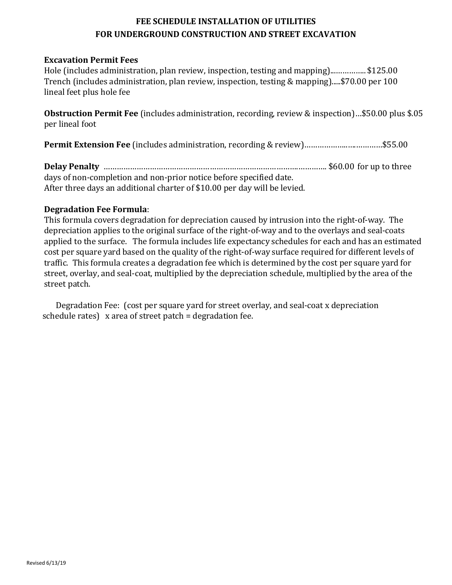## **FEE SCHEDULE INSTALLATION OF UTILITIES FOR UNDERGROUND CONSTRUCTION AND STREET EXCAVATION**

## **Excavation Permit Fees**

Hole (includes administration, plan review, inspection, testing and mapping)...………….. \$125.00 Trench (includes administration, plan review, inspection, testing & mapping).....\$70.00 per 100 lineal feet plus hole fee

**Obstruction Permit Fee** (includes administration, recording, review & inspection)…\$50.00 plus \$.05 per lineal foot

**Permit Extension Fee** (includes administration, recording & review)………………..….…………\$55.00

**Delay Penalty** …………………………………………………………………………….…………. \$60.00 for up to three days of non-completion and non-prior notice before specified date. After three days an additional charter of \$10.00 per day will be levied.

## **Degradation Fee Formula**:

This formula covers degradation for depreciation caused by intrusion into the right-of-way. The depreciation applies to the original surface of the right-of-way and to the overlays and seal-coats applied to the surface. The formula includes life expectancy schedules for each and has an estimated cost per square yard based on the quality of the right-of-way surface required for different levels of traffic. This formula creates a degradation fee which is determined by the cost per square yard for street, overlay, and seal-coat, multiplied by the depreciation schedule, multiplied by the area of the street patch.

Degradation Fee: (cost per square yard for street overlay, and seal-coat x depreciation schedule rates) x area of street patch = degradation fee.